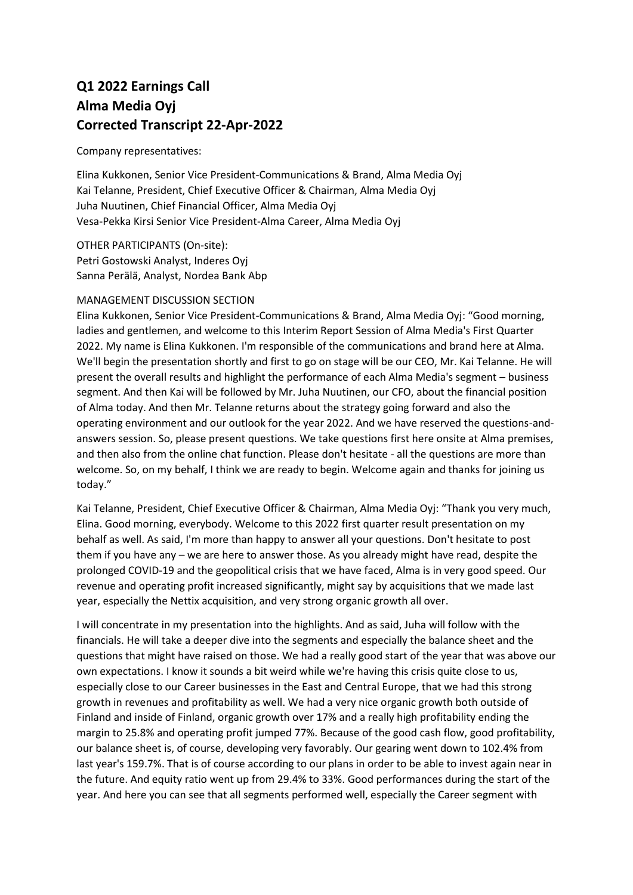## **Q1 2022 Earnings Call Alma Media Oyj Corrected Transcript 22-Apr-2022**

Company representatives:

Elina Kukkonen, Senior Vice President-Communications & Brand, Alma Media Oyj Kai Telanne, President, Chief Executive Officer & Chairman, Alma Media Oyj Juha Nuutinen, Chief Financial Officer, Alma Media Oyj Vesa-Pekka Kirsi Senior Vice President-Alma Career, Alma Media Oyj

OTHER PARTICIPANTS (On-site): Petri Gostowski Analyst, Inderes Oyj Sanna Perälä, Analyst, Nordea Bank Abp

## MANAGEMENT DISCUSSION SECTION

Elina Kukkonen, Senior Vice President-Communications & Brand, Alma Media Oyj: "Good morning, ladies and gentlemen, and welcome to this Interim Report Session of Alma Media's First Quarter 2022. My name is Elina Kukkonen. I'm responsible of the communications and brand here at Alma. We'll begin the presentation shortly and first to go on stage will be our CEO, Mr. Kai Telanne. He will present the overall results and highlight the performance of each Alma Media's segment – business segment. And then Kai will be followed by Mr. Juha Nuutinen, our CFO, about the financial position of Alma today. And then Mr. Telanne returns about the strategy going forward and also the operating environment and our outlook for the year 2022. And we have reserved the questions-andanswers session. So, please present questions. We take questions first here onsite at Alma premises, and then also from the online chat function. Please don't hesitate - all the questions are more than welcome. So, on my behalf, I think we are ready to begin. Welcome again and thanks for joining us today."

Kai Telanne, President, Chief Executive Officer & Chairman, Alma Media Oyj: "Thank you very much, Elina. Good morning, everybody. Welcome to this 2022 first quarter result presentation on my behalf as well. As said, I'm more than happy to answer all your questions. Don't hesitate to post them if you have any – we are here to answer those. As you already might have read, despite the prolonged COVID-19 and the geopolitical crisis that we have faced, Alma is in very good speed. Our revenue and operating profit increased significantly, might say by acquisitions that we made last year, especially the Nettix acquisition, and very strong organic growth all over.

I will concentrate in my presentation into the highlights. And as said, Juha will follow with the financials. He will take a deeper dive into the segments and especially the balance sheet and the questions that might have raised on those. We had a really good start of the year that was above our own expectations. I know it sounds a bit weird while we're having this crisis quite close to us, especially close to our Career businesses in the East and Central Europe, that we had this strong growth in revenues and profitability as well. We had a very nice organic growth both outside of Finland and inside of Finland, organic growth over 17% and a really high profitability ending the margin to 25.8% and operating profit jumped 77%. Because of the good cash flow, good profitability, our balance sheet is, of course, developing very favorably. Our gearing went down to 102.4% from last year's 159.7%. That is of course according to our plans in order to be able to invest again near in the future. And equity ratio went up from 29.4% to 33%. Good performances during the start of the year. And here you can see that all segments performed well, especially the Career segment with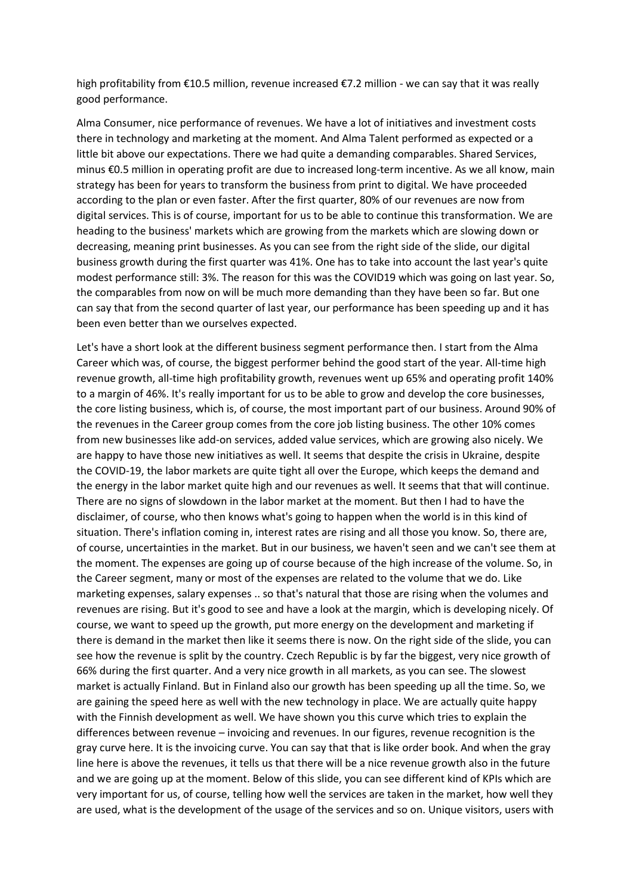high profitability from €10.5 million, revenue increased €7.2 million - we can say that it was really good performance.

Alma Consumer, nice performance of revenues. We have a lot of initiatives and investment costs there in technology and marketing at the moment. And Alma Talent performed as expected or a little bit above our expectations. There we had quite a demanding comparables. Shared Services, minus €0.5 million in operating profit are due to increased long-term incentive. As we all know, main strategy has been for years to transform the business from print to digital. We have proceeded according to the plan or even faster. After the first quarter, 80% of our revenues are now from digital services. This is of course, important for us to be able to continue this transformation. We are heading to the business' markets which are growing from the markets which are slowing down or decreasing, meaning print businesses. As you can see from the right side of the slide, our digital business growth during the first quarter was 41%. One has to take into account the last year's quite modest performance still: 3%. The reason for this was the COVID19 which was going on last year. So, the comparables from now on will be much more demanding than they have been so far. But one can say that from the second quarter of last year, our performance has been speeding up and it has been even better than we ourselves expected.

Let's have a short look at the different business segment performance then. I start from the Alma Career which was, of course, the biggest performer behind the good start of the year. All-time high revenue growth, all-time high profitability growth, revenues went up 65% and operating profit 140% to a margin of 46%. It's really important for us to be able to grow and develop the core businesses, the core listing business, which is, of course, the most important part of our business. Around 90% of the revenues in the Career group comes from the core job listing business. The other 10% comes from new businesses like add-on services, added value services, which are growing also nicely. We are happy to have those new initiatives as well. It seems that despite the crisis in Ukraine, despite the COVID-19, the labor markets are quite tight all over the Europe, which keeps the demand and the energy in the labor market quite high and our revenues as well. It seems that that will continue. There are no signs of slowdown in the labor market at the moment. But then I had to have the disclaimer, of course, who then knows what's going to happen when the world is in this kind of situation. There's inflation coming in, interest rates are rising and all those you know. So, there are, of course, uncertainties in the market. But in our business, we haven't seen and we can't see them at the moment. The expenses are going up of course because of the high increase of the volume. So, in the Career segment, many or most of the expenses are related to the volume that we do. Like marketing expenses, salary expenses .. so that's natural that those are rising when the volumes and revenues are rising. But it's good to see and have a look at the margin, which is developing nicely. Of course, we want to speed up the growth, put more energy on the development and marketing if there is demand in the market then like it seems there is now. On the right side of the slide, you can see how the revenue is split by the country. Czech Republic is by far the biggest, very nice growth of 66% during the first quarter. And a very nice growth in all markets, as you can see. The slowest market is actually Finland. But in Finland also our growth has been speeding up all the time. So, we are gaining the speed here as well with the new technology in place. We are actually quite happy with the Finnish development as well. We have shown you this curve which tries to explain the differences between revenue – invoicing and revenues. In our figures, revenue recognition is the gray curve here. It is the invoicing curve. You can say that that is like order book. And when the gray line here is above the revenues, it tells us that there will be a nice revenue growth also in the future and we are going up at the moment. Below of this slide, you can see different kind of KPIs which are very important for us, of course, telling how well the services are taken in the market, how well they are used, what is the development of the usage of the services and so on. Unique visitors, users with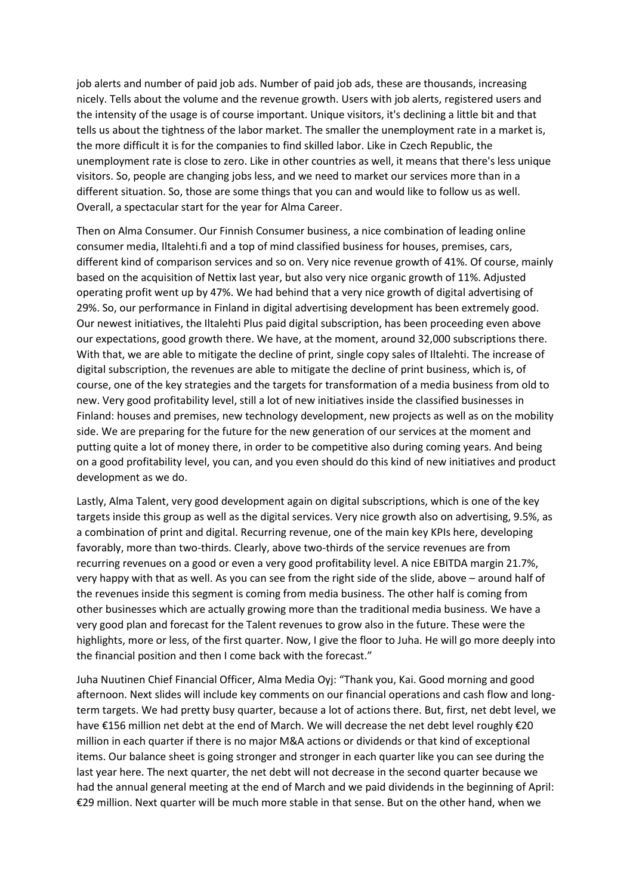job alerts and number of paid job ads. Number of paid job ads, these are thousands, increasing nicely. Tells about the volume and the revenue growth. Users with job alerts, registered users and the intensity of the usage is of course important. Unique visitors, it's declining a little bit and that tells us about the tightness of the labor market. The smaller the unemployment rate in a market is, the more difficult it is for the companies to find skilled labor. Like in Czech Republic, the unemployment rate is close to zero. Like in other countries as well, it means that there's less unique visitors. So, people are changing jobs less, and we need to market our services more than in a different situation. So, those are some things that you can and would like to follow us as well. Overall, a spectacular start for the year for Alma Career.

Then on Alma Consumer. Our Finnish Consumer business, a nice combination of leading online consumer media, Iltalehti.fi and a top of mind classified business for houses, premises, cars, different kind of comparison services and so on. Very nice revenue growth of 41%. Of course, mainly based on the acquisition of Nettix last year, but also very nice organic growth of 11%. Adjusted operating profit went up by 47%. We had behind that a very nice growth of digital advertising of 29%. So, our performance in Finland in digital advertising development has been extremely good. Our newest initiatives, the Iltalehti Plus paid digital subscription, has been proceeding even above our expectations, good growth there. We have, at the moment, around 32,000 subscriptions there. With that, we are able to mitigate the decline of print, single copy sales of Iltalehti. The increase of digital subscription, the revenues are able to mitigate the decline of print business, which is, of course, one of the key strategies and the targets for transformation of a media business from old to new. Very good profitability level, still a lot of new initiatives inside the classified businesses in Finland: houses and premises, new technology development, new projects as well as on the mobility side. We are preparing for the future for the new generation of our services at the moment and putting quite a lot of money there, in order to be competitive also during coming years. And being on a good profitability level, you can, and you even should do this kind of new initiatives and product development as we do.

Lastly, Alma Talent, very good development again on digital subscriptions, which is one of the key targets inside this group as well as the digital services. Very nice growth also on advertising, 9.5%, as a combination of print and digital. Recurring revenue, one of the main key KPIs here, developing favorably, more than two-thirds. Clearly, above two-thirds of the service revenues are from recurring revenues on a good or even a very good profitability level. A nice EBITDA margin 21.7%, very happy with that as well. As you can see from the right side of the slide, above – around half of the revenues inside this segment is coming from media business. The other half is coming from other businesses which are actually growing more than the traditional media business. We have a very good plan and forecast for the Talent revenues to grow also in the future. These were the highlights, more or less, of the first quarter. Now, I give the floor to Juha. He will go more deeply into the financial position and then I come back with the forecast."

Juha Nuutinen Chief Financial Officer, Alma Media Oyj: "Thank you, Kai. Good morning and good afternoon. Next slides will include key comments on our financial operations and cash flow and longterm targets. We had pretty busy quarter, because a lot of actions there. But, first, net debt level, we have €156 million net debt at the end of March. We will decrease the net debt level roughly €20 million in each quarter if there is no major M&A actions or dividends or that kind of exceptional items. Our balance sheet is going stronger and stronger in each quarter like you can see during the last year here. The next quarter, the net debt will not decrease in the second quarter because we had the annual general meeting at the end of March and we paid dividends in the beginning of April: €29 million. Next quarter will be much more stable in that sense. But on the other hand, when we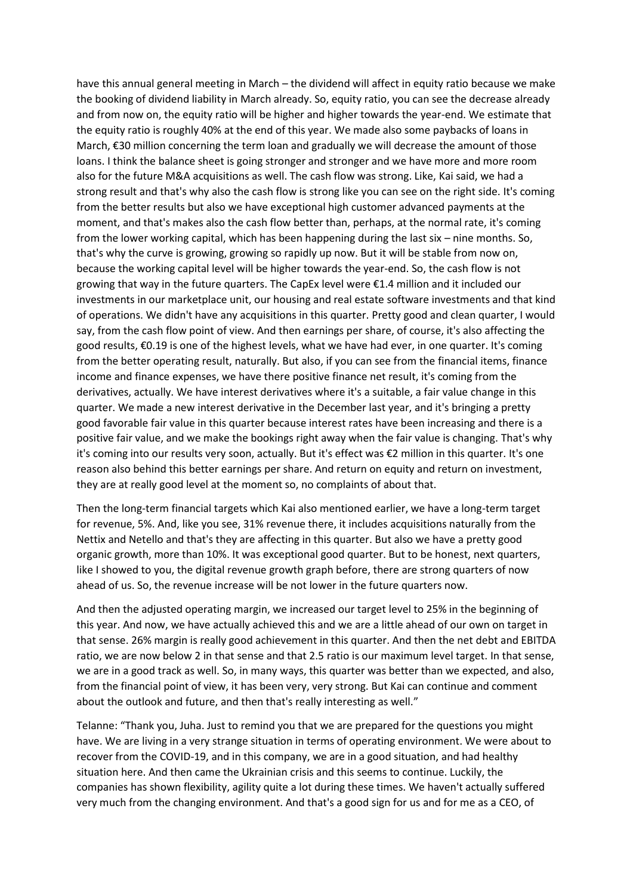have this annual general meeting in March – the dividend will affect in equity ratio because we make the booking of dividend liability in March already. So, equity ratio, you can see the decrease already and from now on, the equity ratio will be higher and higher towards the year-end. We estimate that the equity ratio is roughly 40% at the end of this year. We made also some paybacks of loans in March, €30 million concerning the term loan and gradually we will decrease the amount of those loans. I think the balance sheet is going stronger and stronger and we have more and more room also for the future M&A acquisitions as well. The cash flow was strong. Like, Kai said, we had a strong result and that's why also the cash flow is strong like you can see on the right side. It's coming from the better results but also we have exceptional high customer advanced payments at the moment, and that's makes also the cash flow better than, perhaps, at the normal rate, it's coming from the lower working capital, which has been happening during the last six – nine months. So, that's why the curve is growing, growing so rapidly up now. But it will be stable from now on, because the working capital level will be higher towards the year-end. So, the cash flow is not growing that way in the future quarters. The CapEx level were €1.4 million and it included our investments in our marketplace unit, our housing and real estate software investments and that kind of operations. We didn't have any acquisitions in this quarter. Pretty good and clean quarter, I would say, from the cash flow point of view. And then earnings per share, of course, it's also affecting the good results, €0.19 is one of the highest levels, what we have had ever, in one quarter. It's coming from the better operating result, naturally. But also, if you can see from the financial items, finance income and finance expenses, we have there positive finance net result, it's coming from the derivatives, actually. We have interest derivatives where it's a suitable, a fair value change in this quarter. We made a new interest derivative in the December last year, and it's bringing a pretty good favorable fair value in this quarter because interest rates have been increasing and there is a positive fair value, and we make the bookings right away when the fair value is changing. That's why it's coming into our results very soon, actually. But it's effect was €2 million in this quarter. It's one reason also behind this better earnings per share. And return on equity and return on investment, they are at really good level at the moment so, no complaints of about that.

Then the long-term financial targets which Kai also mentioned earlier, we have a long-term target for revenue, 5%. And, like you see, 31% revenue there, it includes acquisitions naturally from the Nettix and Netello and that's they are affecting in this quarter. But also we have a pretty good organic growth, more than 10%. It was exceptional good quarter. But to be honest, next quarters, like I showed to you, the digital revenue growth graph before, there are strong quarters of now ahead of us. So, the revenue increase will be not lower in the future quarters now.

And then the adjusted operating margin, we increased our target level to 25% in the beginning of this year. And now, we have actually achieved this and we are a little ahead of our own on target in that sense. 26% margin is really good achievement in this quarter. And then the net debt and EBITDA ratio, we are now below 2 in that sense and that 2.5 ratio is our maximum level target. In that sense, we are in a good track as well. So, in many ways, this quarter was better than we expected, and also, from the financial point of view, it has been very, very strong. But Kai can continue and comment about the outlook and future, and then that's really interesting as well."

Telanne: "Thank you, Juha. Just to remind you that we are prepared for the questions you might have. We are living in a very strange situation in terms of operating environment. We were about to recover from the COVID-19, and in this company, we are in a good situation, and had healthy situation here. And then came the Ukrainian crisis and this seems to continue. Luckily, the companies has shown flexibility, agility quite a lot during these times. We haven't actually suffered very much from the changing environment. And that's a good sign for us and for me as a CEO, of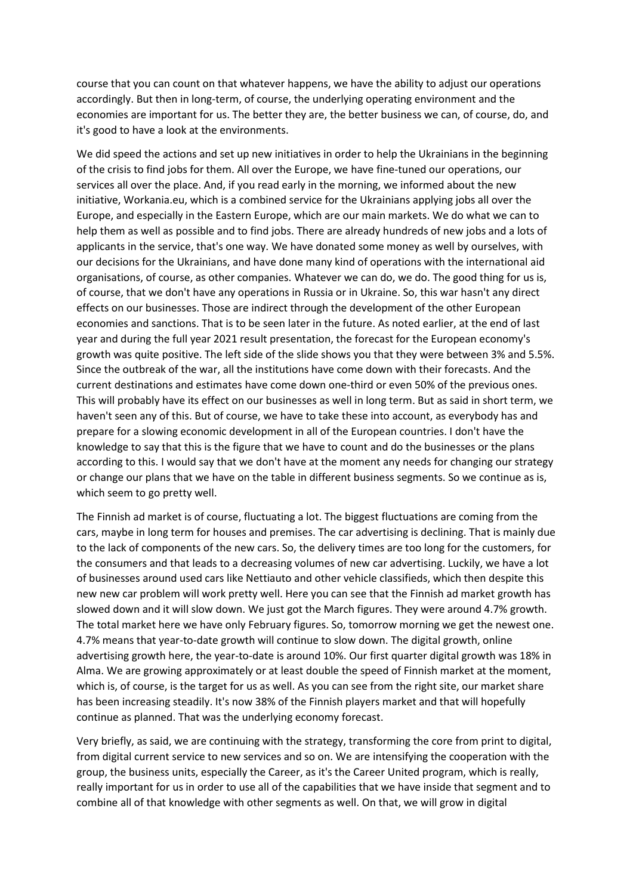course that you can count on that whatever happens, we have the ability to adjust our operations accordingly. But then in long-term, of course, the underlying operating environment and the economies are important for us. The better they are, the better business we can, of course, do, and it's good to have a look at the environments.

We did speed the actions and set up new initiatives in order to help the Ukrainians in the beginning of the crisis to find jobs for them. All over the Europe, we have fine-tuned our operations, our services all over the place. And, if you read early in the morning, we informed about the new initiative, Workania.eu, which is a combined service for the Ukrainians applying jobs all over the Europe, and especially in the Eastern Europe, which are our main markets. We do what we can to help them as well as possible and to find jobs. There are already hundreds of new jobs and a lots of applicants in the service, that's one way. We have donated some money as well by ourselves, with our decisions for the Ukrainians, and have done many kind of operations with the international aid organisations, of course, as other companies. Whatever we can do, we do. The good thing for us is, of course, that we don't have any operations in Russia or in Ukraine. So, this war hasn't any direct effects on our businesses. Those are indirect through the development of the other European economies and sanctions. That is to be seen later in the future. As noted earlier, at the end of last year and during the full year 2021 result presentation, the forecast for the European economy's growth was quite positive. The left side of the slide shows you that they were between 3% and 5.5%. Since the outbreak of the war, all the institutions have come down with their forecasts. And the current destinations and estimates have come down one-third or even 50% of the previous ones. This will probably have its effect on our businesses as well in long term. But as said in short term, we haven't seen any of this. But of course, we have to take these into account, as everybody has and prepare for a slowing economic development in all of the European countries. I don't have the knowledge to say that this is the figure that we have to count and do the businesses or the plans according to this. I would say that we don't have at the moment any needs for changing our strategy or change our plans that we have on the table in different business segments. So we continue as is, which seem to go pretty well.

The Finnish ad market is of course, fluctuating a lot. The biggest fluctuations are coming from the cars, maybe in long term for houses and premises. The car advertising is declining. That is mainly due to the lack of components of the new cars. So, the delivery times are too long for the customers, for the consumers and that leads to a decreasing volumes of new car advertising. Luckily, we have a lot of businesses around used cars like Nettiauto and other vehicle classifieds, which then despite this new new car problem will work pretty well. Here you can see that the Finnish ad market growth has slowed down and it will slow down. We just got the March figures. They were around 4.7% growth. The total market here we have only February figures. So, tomorrow morning we get the newest one. 4.7% means that year-to-date growth will continue to slow down. The digital growth, online advertising growth here, the year-to-date is around 10%. Our first quarter digital growth was 18% in Alma. We are growing approximately or at least double the speed of Finnish market at the moment, which is, of course, is the target for us as well. As you can see from the right site, our market share has been increasing steadily. It's now 38% of the Finnish players market and that will hopefully continue as planned. That was the underlying economy forecast.

Very briefly, as said, we are continuing with the strategy, transforming the core from print to digital, from digital current service to new services and so on. We are intensifying the cooperation with the group, the business units, especially the Career, as it's the Career United program, which is really, really important for us in order to use all of the capabilities that we have inside that segment and to combine all of that knowledge with other segments as well. On that, we will grow in digital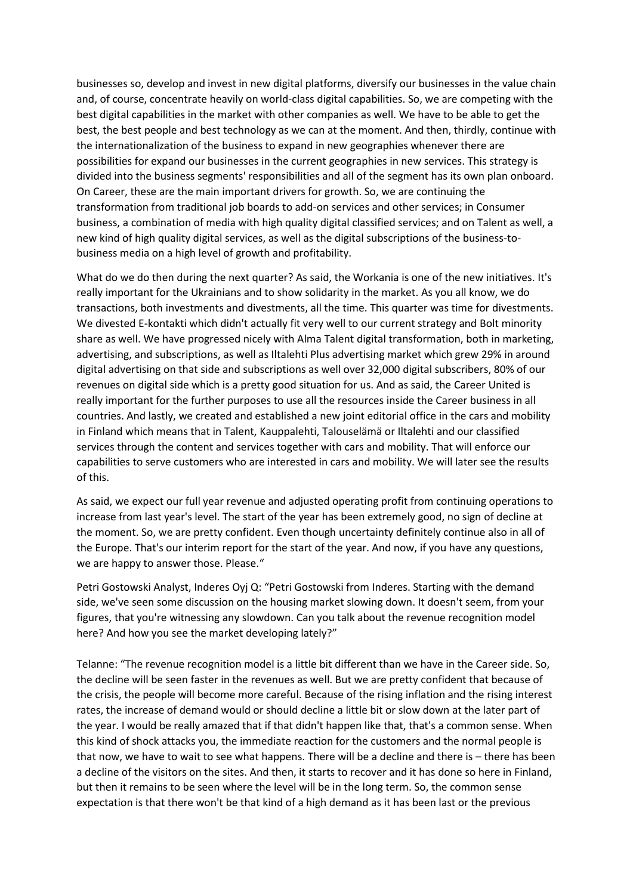businesses so, develop and invest in new digital platforms, diversify our businesses in the value chain and, of course, concentrate heavily on world-class digital capabilities. So, we are competing with the best digital capabilities in the market with other companies as well. We have to be able to get the best, the best people and best technology as we can at the moment. And then, thirdly, continue with the internationalization of the business to expand in new geographies whenever there are possibilities for expand our businesses in the current geographies in new services. This strategy is divided into the business segments' responsibilities and all of the segment has its own plan onboard. On Career, these are the main important drivers for growth. So, we are continuing the transformation from traditional job boards to add-on services and other services; in Consumer business, a combination of media with high quality digital classified services; and on Talent as well, a new kind of high quality digital services, as well as the digital subscriptions of the business-tobusiness media on a high level of growth and profitability.

What do we do then during the next quarter? As said, the Workania is one of the new initiatives. It's really important for the Ukrainians and to show solidarity in the market. As you all know, we do transactions, both investments and divestments, all the time. This quarter was time for divestments. We divested E-kontakti which didn't actually fit very well to our current strategy and Bolt minority share as well. We have progressed nicely with Alma Talent digital transformation, both in marketing, advertising, and subscriptions, as well as Iltalehti Plus advertising market which grew 29% in around digital advertising on that side and subscriptions as well over 32,000 digital subscribers, 80% of our revenues on digital side which is a pretty good situation for us. And as said, the Career United is really important for the further purposes to use all the resources inside the Career business in all countries. And lastly, we created and established a new joint editorial office in the cars and mobility in Finland which means that in Talent, Kauppalehti, Talouselämä or Iltalehti and our classified services through the content and services together with cars and mobility. That will enforce our capabilities to serve customers who are interested in cars and mobility. We will later see the results of this.

As said, we expect our full year revenue and adjusted operating profit from continuing operations to increase from last year's level. The start of the year has been extremely good, no sign of decline at the moment. So, we are pretty confident. Even though uncertainty definitely continue also in all of the Europe. That's our interim report for the start of the year. And now, if you have any questions, we are happy to answer those. Please."

Petri Gostowski Analyst, Inderes Oyj Q: "Petri Gostowski from Inderes. Starting with the demand side, we've seen some discussion on the housing market slowing down. It doesn't seem, from your figures, that you're witnessing any slowdown. Can you talk about the revenue recognition model here? And how you see the market developing lately?"

Telanne: "The revenue recognition model is a little bit different than we have in the Career side. So, the decline will be seen faster in the revenues as well. But we are pretty confident that because of the crisis, the people will become more careful. Because of the rising inflation and the rising interest rates, the increase of demand would or should decline a little bit or slow down at the later part of the year. I would be really amazed that if that didn't happen like that, that's a common sense. When this kind of shock attacks you, the immediate reaction for the customers and the normal people is that now, we have to wait to see what happens. There will be a decline and there is – there has been a decline of the visitors on the sites. And then, it starts to recover and it has done so here in Finland, but then it remains to be seen where the level will be in the long term. So, the common sense expectation is that there won't be that kind of a high demand as it has been last or the previous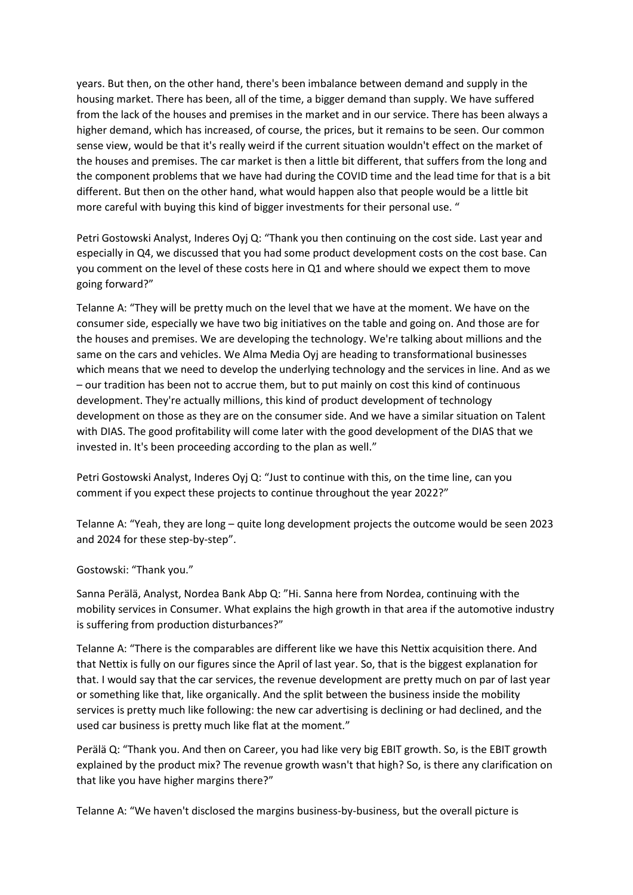years. But then, on the other hand, there's been imbalance between demand and supply in the housing market. There has been, all of the time, a bigger demand than supply. We have suffered from the lack of the houses and premises in the market and in our service. There has been always a higher demand, which has increased, of course, the prices, but it remains to be seen. Our common sense view, would be that it's really weird if the current situation wouldn't effect on the market of the houses and premises. The car market is then a little bit different, that suffers from the long and the component problems that we have had during the COVID time and the lead time for that is a bit different. But then on the other hand, what would happen also that people would be a little bit more careful with buying this kind of bigger investments for their personal use. "

Petri Gostowski Analyst, Inderes Oyj Q: "Thank you then continuing on the cost side. Last year and especially in Q4, we discussed that you had some product development costs on the cost base. Can you comment on the level of these costs here in Q1 and where should we expect them to move going forward?"

Telanne A: "They will be pretty much on the level that we have at the moment. We have on the consumer side, especially we have two big initiatives on the table and going on. And those are for the houses and premises. We are developing the technology. We're talking about millions and the same on the cars and vehicles. We Alma Media Oyj are heading to transformational businesses which means that we need to develop the underlying technology and the services in line. And as we – our tradition has been not to accrue them, but to put mainly on cost this kind of continuous development. They're actually millions, this kind of product development of technology development on those as they are on the consumer side. And we have a similar situation on Talent with DIAS. The good profitability will come later with the good development of the DIAS that we invested in. It's been proceeding according to the plan as well."

Petri Gostowski Analyst, Inderes Oyj Q: "Just to continue with this, on the time line, can you comment if you expect these projects to continue throughout the year 2022?"

Telanne A: "Yeah, they are long – quite long development projects the outcome would be seen 2023 and 2024 for these step-by-step".

Gostowski: "Thank you."

Sanna Perälä, Analyst, Nordea Bank Abp Q: "Hi. Sanna here from Nordea, continuing with the mobility services in Consumer. What explains the high growth in that area if the automotive industry is suffering from production disturbances?"

Telanne A: "There is the comparables are different like we have this Nettix acquisition there. And that Nettix is fully on our figures since the April of last year. So, that is the biggest explanation for that. I would say that the car services, the revenue development are pretty much on par of last year or something like that, like organically. And the split between the business inside the mobility services is pretty much like following: the new car advertising is declining or had declined, and the used car business is pretty much like flat at the moment."

Perälä Q: "Thank you. And then on Career, you had like very big EBIT growth. So, is the EBIT growth explained by the product mix? The revenue growth wasn't that high? So, is there any clarification on that like you have higher margins there?"

Telanne A: "We haven't disclosed the margins business-by-business, but the overall picture is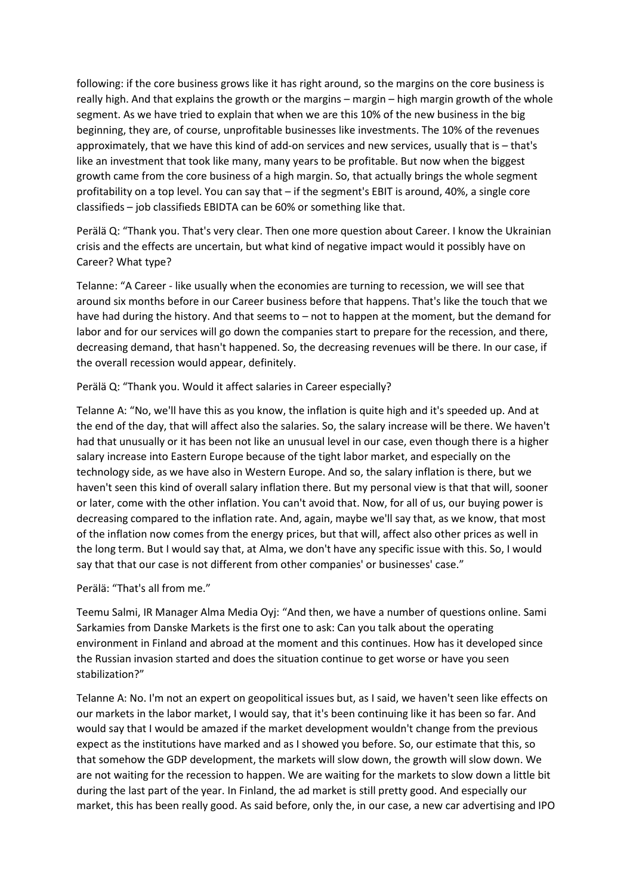following: if the core business grows like it has right around, so the margins on the core business is really high. And that explains the growth or the margins – margin – high margin growth of the whole segment. As we have tried to explain that when we are this 10% of the new business in the big beginning, they are, of course, unprofitable businesses like investments. The 10% of the revenues approximately, that we have this kind of add-on services and new services, usually that is – that's like an investment that took like many, many years to be profitable. But now when the biggest growth came from the core business of a high margin. So, that actually brings the whole segment profitability on a top level. You can say that – if the segment's EBIT is around, 40%, a single core classifieds – job classifieds EBIDTA can be 60% or something like that.

Perälä Q: "Thank you. That's very clear. Then one more question about Career. I know the Ukrainian crisis and the effects are uncertain, but what kind of negative impact would it possibly have on Career? What type?

Telanne: "A Career - like usually when the economies are turning to recession, we will see that around six months before in our Career business before that happens. That's like the touch that we have had during the history. And that seems to – not to happen at the moment, but the demand for labor and for our services will go down the companies start to prepare for the recession, and there, decreasing demand, that hasn't happened. So, the decreasing revenues will be there. In our case, if the overall recession would appear, definitely.

## Perälä Q: "Thank you. Would it affect salaries in Career especially?

Telanne A: "No, we'll have this as you know, the inflation is quite high and it's speeded up. And at the end of the day, that will affect also the salaries. So, the salary increase will be there. We haven't had that unusually or it has been not like an unusual level in our case, even though there is a higher salary increase into Eastern Europe because of the tight labor market, and especially on the technology side, as we have also in Western Europe. And so, the salary inflation is there, but we haven't seen this kind of overall salary inflation there. But my personal view is that that will, sooner or later, come with the other inflation. You can't avoid that. Now, for all of us, our buying power is decreasing compared to the inflation rate. And, again, maybe we'll say that, as we know, that most of the inflation now comes from the energy prices, but that will, affect also other prices as well in the long term. But I would say that, at Alma, we don't have any specific issue with this. So, I would say that that our case is not different from other companies' or businesses' case."

Perälä: "That's all from me."

Teemu Salmi, IR Manager Alma Media Oyj: "And then, we have a number of questions online. Sami Sarkamies from Danske Markets is the first one to ask: Can you talk about the operating environment in Finland and abroad at the moment and this continues. How has it developed since the Russian invasion started and does the situation continue to get worse or have you seen stabilization?"

Telanne A: No. I'm not an expert on geopolitical issues but, as I said, we haven't seen like effects on our markets in the labor market, I would say, that it's been continuing like it has been so far. And would say that I would be amazed if the market development wouldn't change from the previous expect as the institutions have marked and as I showed you before. So, our estimate that this, so that somehow the GDP development, the markets will slow down, the growth will slow down. We are not waiting for the recession to happen. We are waiting for the markets to slow down a little bit during the last part of the year. In Finland, the ad market is still pretty good. And especially our market, this has been really good. As said before, only the, in our case, a new car advertising and IPO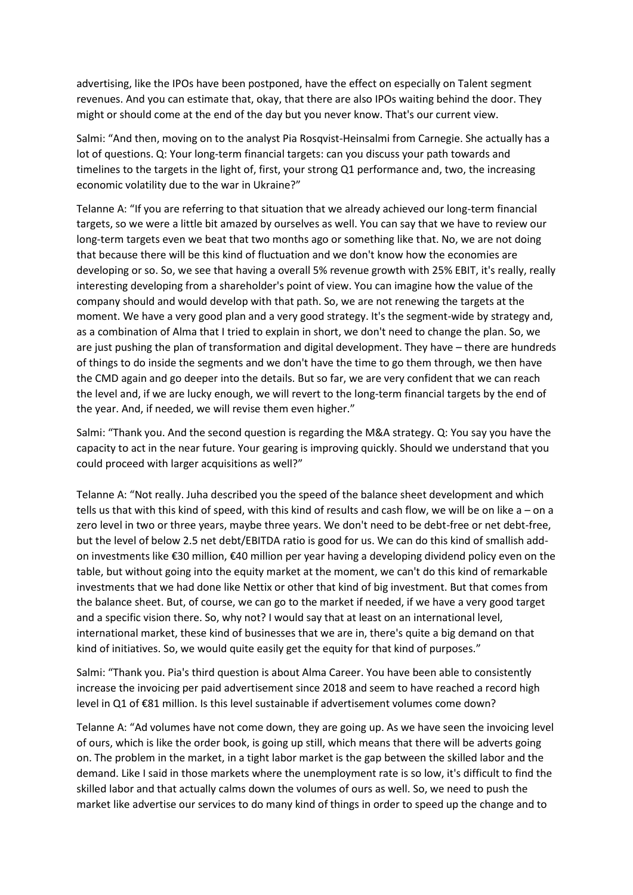advertising, like the IPOs have been postponed, have the effect on especially on Talent segment revenues. And you can estimate that, okay, that there are also IPOs waiting behind the door. They might or should come at the end of the day but you never know. That's our current view.

Salmi: "And then, moving on to the analyst Pia Rosqvist-Heinsalmi from Carnegie. She actually has a lot of questions. Q: Your long-term financial targets: can you discuss your path towards and timelines to the targets in the light of, first, your strong Q1 performance and, two, the increasing economic volatility due to the war in Ukraine?"

Telanne A: "If you are referring to that situation that we already achieved our long-term financial targets, so we were a little bit amazed by ourselves as well. You can say that we have to review our long-term targets even we beat that two months ago or something like that. No, we are not doing that because there will be this kind of fluctuation and we don't know how the economies are developing or so. So, we see that having a overall 5% revenue growth with 25% EBIT, it's really, really interesting developing from a shareholder's point of view. You can imagine how the value of the company should and would develop with that path. So, we are not renewing the targets at the moment. We have a very good plan and a very good strategy. It's the segment-wide by strategy and, as a combination of Alma that I tried to explain in short, we don't need to change the plan. So, we are just pushing the plan of transformation and digital development. They have – there are hundreds of things to do inside the segments and we don't have the time to go them through, we then have the CMD again and go deeper into the details. But so far, we are very confident that we can reach the level and, if we are lucky enough, we will revert to the long-term financial targets by the end of the year. And, if needed, we will revise them even higher."

Salmi: "Thank you. And the second question is regarding the M&A strategy. Q: You say you have the capacity to act in the near future. Your gearing is improving quickly. Should we understand that you could proceed with larger acquisitions as well?"

Telanne A: "Not really. Juha described you the speed of the balance sheet development and which tells us that with this kind of speed, with this kind of results and cash flow, we will be on like a – on a zero level in two or three years, maybe three years. We don't need to be debt-free or net debt-free, but the level of below 2.5 net debt/EBITDA ratio is good for us. We can do this kind of smallish addon investments like €30 million, €40 million per year having a developing dividend policy even on the table, but without going into the equity market at the moment, we can't do this kind of remarkable investments that we had done like Nettix or other that kind of big investment. But that comes from the balance sheet. But, of course, we can go to the market if needed, if we have a very good target and a specific vision there. So, why not? I would say that at least on an international level, international market, these kind of businesses that we are in, there's quite a big demand on that kind of initiatives. So, we would quite easily get the equity for that kind of purposes."

Salmi: "Thank you. Pia's third question is about Alma Career. You have been able to consistently increase the invoicing per paid advertisement since 2018 and seem to have reached a record high level in Q1 of €81 million. Is this level sustainable if advertisement volumes come down?

Telanne A: "Ad volumes have not come down, they are going up. As we have seen the invoicing level of ours, which is like the order book, is going up still, which means that there will be adverts going on. The problem in the market, in a tight labor market is the gap between the skilled labor and the demand. Like I said in those markets where the unemployment rate is so low, it's difficult to find the skilled labor and that actually calms down the volumes of ours as well. So, we need to push the market like advertise our services to do many kind of things in order to speed up the change and to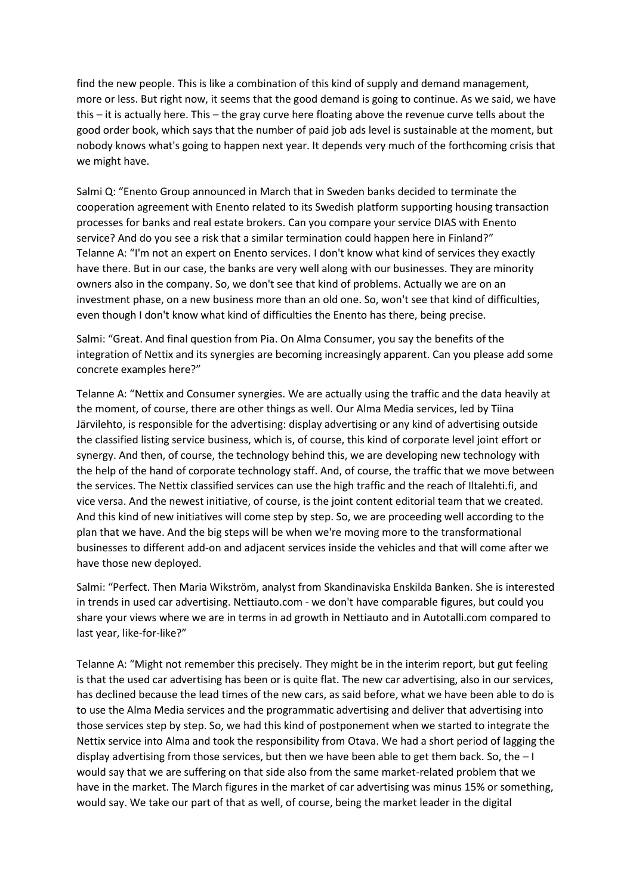find the new people. This is like a combination of this kind of supply and demand management, more or less. But right now, it seems that the good demand is going to continue. As we said, we have this – it is actually here. This – the gray curve here floating above the revenue curve tells about the good order book, which says that the number of paid job ads level is sustainable at the moment, but nobody knows what's going to happen next year. It depends very much of the forthcoming crisis that we might have.

Salmi Q: "Enento Group announced in March that in Sweden banks decided to terminate the cooperation agreement with Enento related to its Swedish platform supporting housing transaction processes for banks and real estate brokers. Can you compare your service DIAS with Enento service? And do you see a risk that a similar termination could happen here in Finland?" Telanne A: "I'm not an expert on Enento services. I don't know what kind of services they exactly have there. But in our case, the banks are very well along with our businesses. They are minority owners also in the company. So, we don't see that kind of problems. Actually we are on an investment phase, on a new business more than an old one. So, won't see that kind of difficulties, even though I don't know what kind of difficulties the Enento has there, being precise.

Salmi: "Great. And final question from Pia. On Alma Consumer, you say the benefits of the integration of Nettix and its synergies are becoming increasingly apparent. Can you please add some concrete examples here?"

Telanne A: "Nettix and Consumer synergies. We are actually using the traffic and the data heavily at the moment, of course, there are other things as well. Our Alma Media services, led by Tiina Järvilehto, is responsible for the advertising: display advertising or any kind of advertising outside the classified listing service business, which is, of course, this kind of corporate level joint effort or synergy. And then, of course, the technology behind this, we are developing new technology with the help of the hand of corporate technology staff. And, of course, the traffic that we move between the services. The Nettix classified services can use the high traffic and the reach of Iltalehti.fi, and vice versa. And the newest initiative, of course, is the joint content editorial team that we created. And this kind of new initiatives will come step by step. So, we are proceeding well according to the plan that we have. And the big steps will be when we're moving more to the transformational businesses to different add-on and adjacent services inside the vehicles and that will come after we have those new deployed.

Salmi: "Perfect. Then Maria Wikström, analyst from Skandinaviska Enskilda Banken. She is interested in trends in used car advertising. Nettiauto.com - we don't have comparable figures, but could you share your views where we are in terms in ad growth in Nettiauto and in Autotalli.com compared to last year, like-for-like?"

Telanne A: "Might not remember this precisely. They might be in the interim report, but gut feeling is that the used car advertising has been or is quite flat. The new car advertising, also in our services, has declined because the lead times of the new cars, as said before, what we have been able to do is to use the Alma Media services and the programmatic advertising and deliver that advertising into those services step by step. So, we had this kind of postponement when we started to integrate the Nettix service into Alma and took the responsibility from Otava. We had a short period of lagging the display advertising from those services, but then we have been able to get them back. So, the  $-1$ would say that we are suffering on that side also from the same market-related problem that we have in the market. The March figures in the market of car advertising was minus 15% or something, would say. We take our part of that as well, of course, being the market leader in the digital